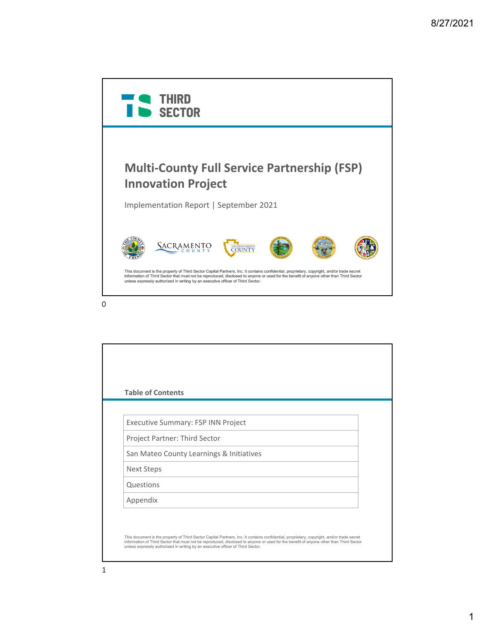

| <b>Table of Contents</b>           |                                          |  |
|------------------------------------|------------------------------------------|--|
|                                    |                                          |  |
| Executive Summary: FSP INN Project |                                          |  |
| Project Partner: Third Sector      |                                          |  |
|                                    | San Mateo County Learnings & Initiatives |  |
| <b>Next Steps</b>                  |                                          |  |
| Questions                          |                                          |  |
| Appendix                           |                                          |  |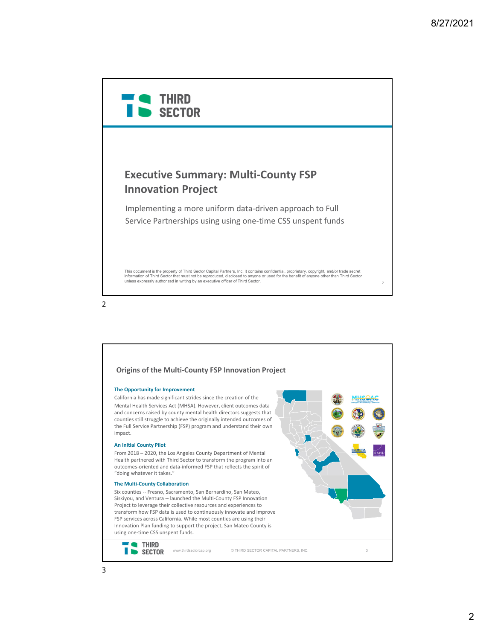



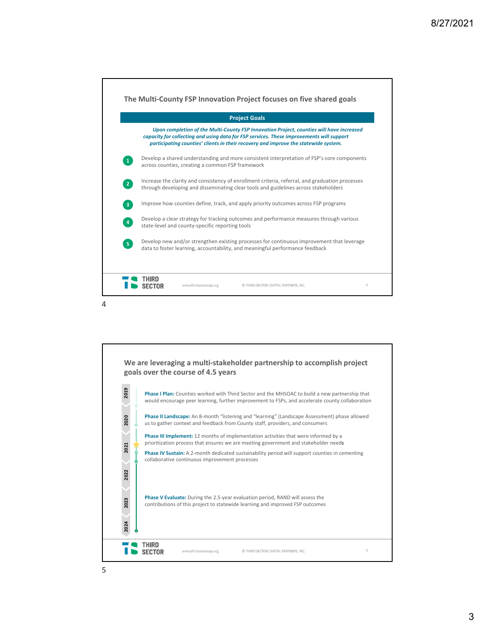

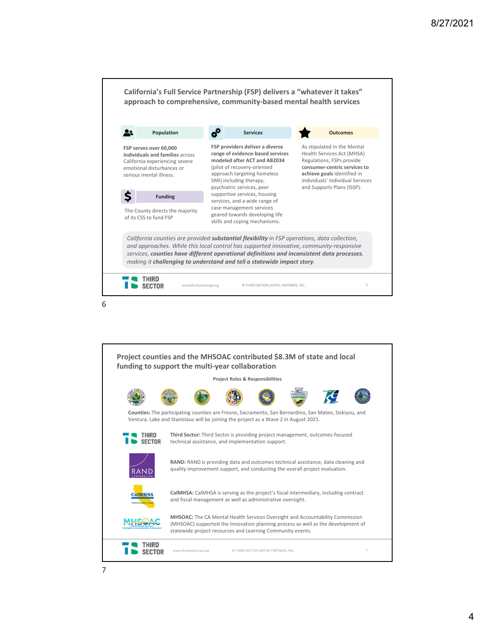

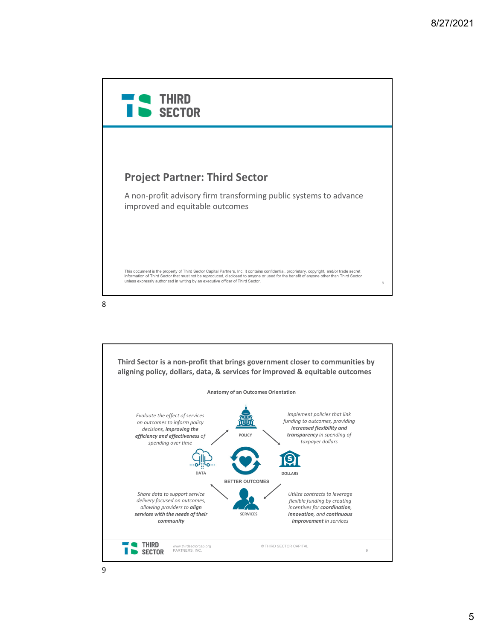

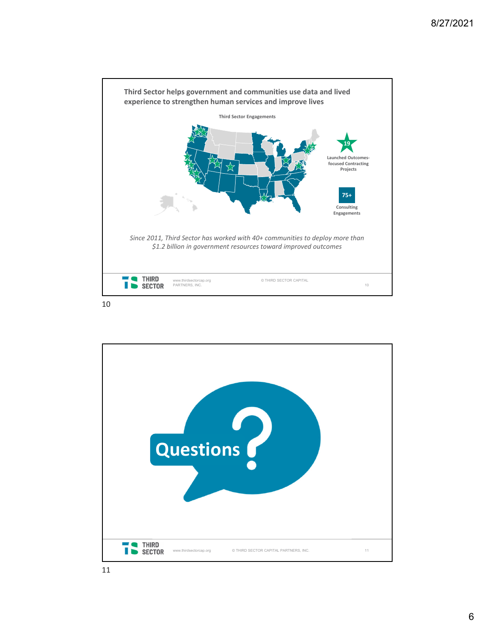

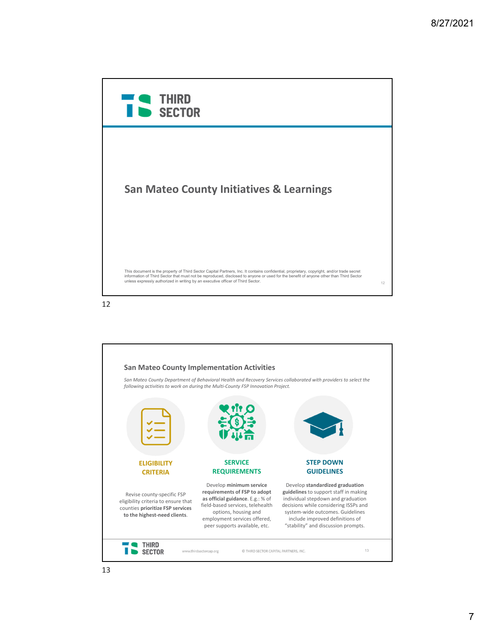



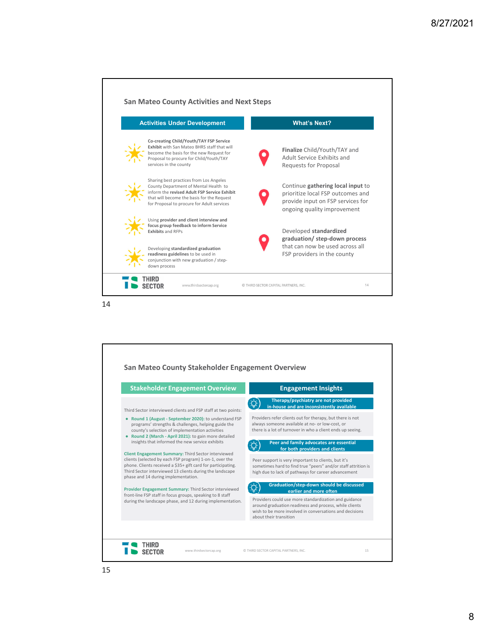| <b>Activities Under Development</b> |                                                                                                                                                                                                                              | <b>What's Next?</b>                                                                                                                        |  |
|-------------------------------------|------------------------------------------------------------------------------------------------------------------------------------------------------------------------------------------------------------------------------|--------------------------------------------------------------------------------------------------------------------------------------------|--|
|                                     | Co-creating Child/Youth/TAY FSP Service<br>Exhibit with San Mateo BHRS staff that will<br>become the basis for the new Request for<br>Proposal to procure for Child/Youth/TAY<br>services in the county                      | <b>Finalize</b> Child/Youth/TAY and<br>Adult Service Exhibits and<br>Requests for Proposal                                                 |  |
|                                     | Sharing best practices from Los Angeles<br>County Department of Mental Health to<br>inform the revised Adult FSP Service Exhibit<br>that will become the basis for the Request<br>for Proposal to procure for Adult services | Continue gathering local input to<br>prioritize local FSP outcomes and<br>provide input on FSP services for<br>ongoing quality improvement |  |
|                                     | Using provider and client interview and<br>focus group feedback to inform Service<br><b>Exhibits and RFPs</b>                                                                                                                | Developed standardized<br>graduation/ step-down process                                                                                    |  |
|                                     | Developing standardized graduation<br>readiness guidelines to be used in<br>conjunction with new graduation / step-<br>down process                                                                                          | that can now be used across all<br>FSP providers in the county                                                                             |  |

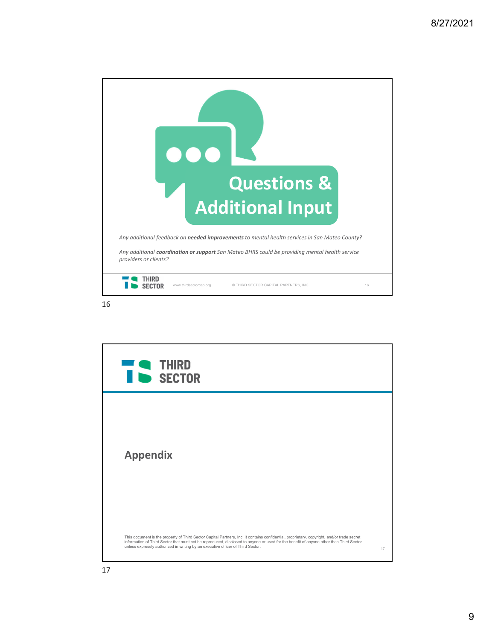

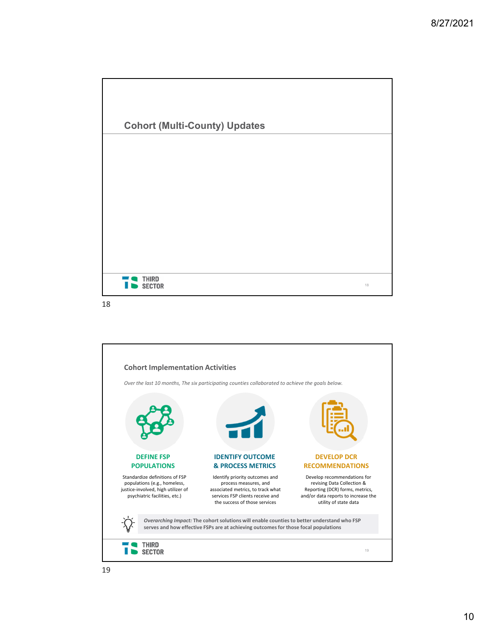



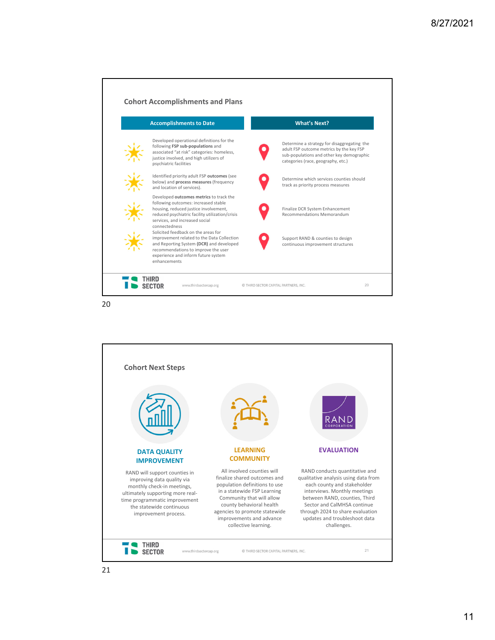



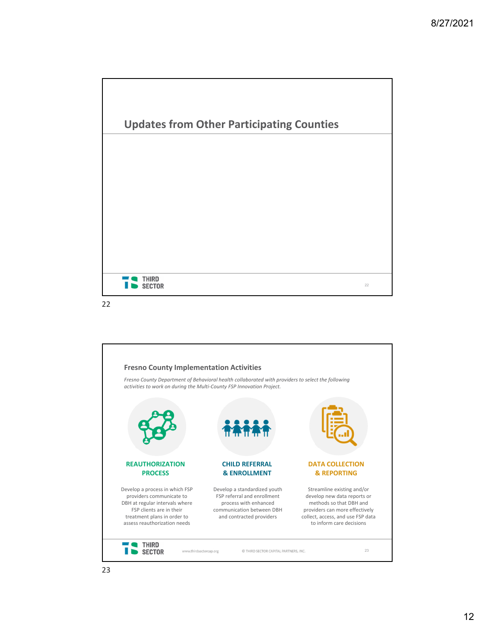



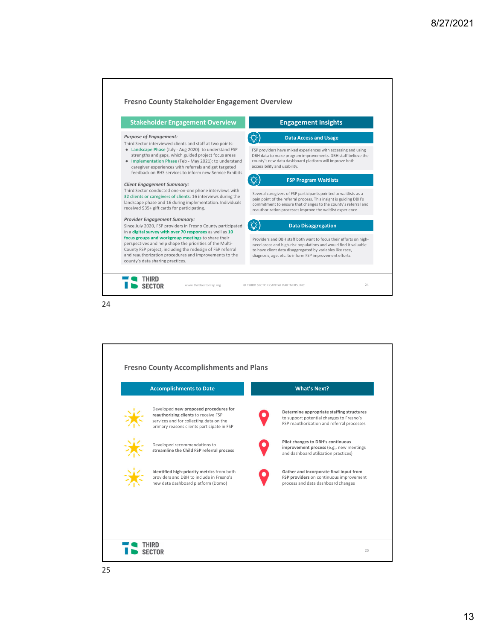

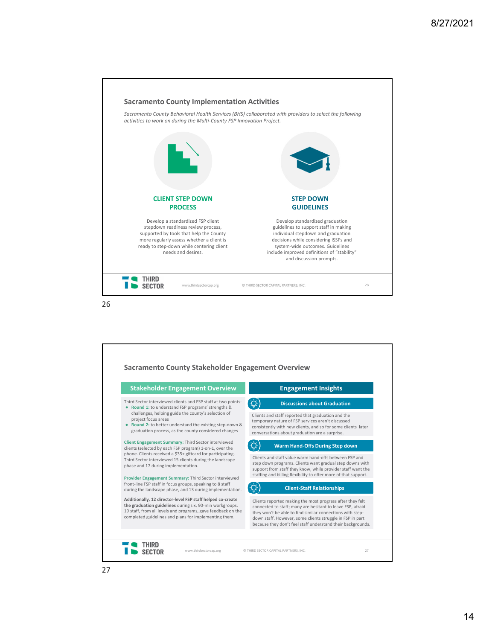

| <b>Stakeholder Engagement Overview</b>                                                                                                                                                                                                          | <b>Engagement Insights</b>                                                                                                                                                                                                                                                                                       |
|-------------------------------------------------------------------------------------------------------------------------------------------------------------------------------------------------------------------------------------------------|------------------------------------------------------------------------------------------------------------------------------------------------------------------------------------------------------------------------------------------------------------------------------------------------------------------|
| Third Sector interviewed clients and FSP staff at two points:<br>• Round 1: to understand FSP programs' strengths &                                                                                                                             | <b>Discussions about Graduation</b>                                                                                                                                                                                                                                                                              |
| challenges, helping guide the county's selection of<br>project focus areas<br>• Round 2: to better understand the existing step-down &<br>graduation process, as the county considered changes                                                  | Clients and staff reported that graduation and the<br>temporary nature of FSP services aren't discussed<br>consistently with new clients, and so for some clients later<br>conversations about graduation are a surprise.                                                                                        |
| Client Engagement Summary: Third Sector interviewed<br>clients (selected by each FSP program) 1-on-1, over the                                                                                                                                  | Warm Hand-Offs During Step down                                                                                                                                                                                                                                                                                  |
| phone. Clients received a \$35+ giftcard for participating.<br>Third Sector interviewed 15 clients during the landscape<br>phase and 17 during implementation.                                                                                  | Clients and staff value warm hand-offs hetween ESP and<br>step down programs. Clients want gradual step downs with<br>support from staff they know, while provider staff want the                                                                                                                                |
| Provider Engagement Summary: Third Sector interviewed<br>front-line FSP staff in focus groups, speaking to 8 staff<br>during the landscape phase, and 13 during implementation.                                                                 | staffing and billing flexibility to offer more of that support.<br><b>Client-Staff Relationships</b>                                                                                                                                                                                                             |
| Additionally, 12 director-level FSP staff helped co-create<br>the graduation guidelines during six, 90-min workgroups.<br>19 staff, from all levels and programs, gave feedback on the<br>completed guidelines and plans for implementing them. | Clients reported making the most progress after they felt<br>connected to staff; many are hesitant to leave FSP, afraid<br>they won't be able to find similar connections with step-<br>down staff. However, some clients struggle in FSP in part<br>because they don't feel staff understand their backgrounds. |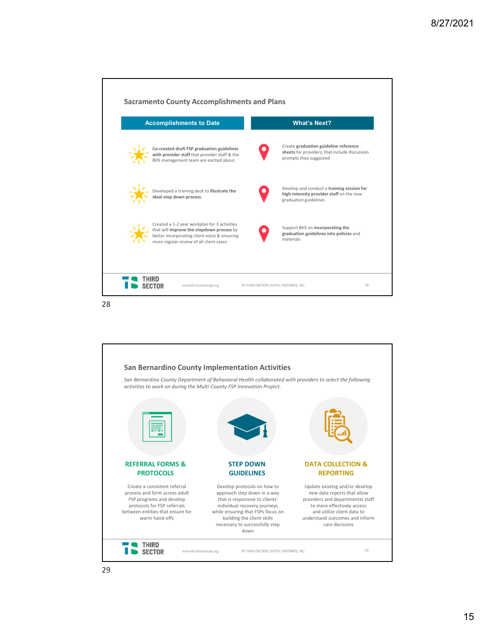

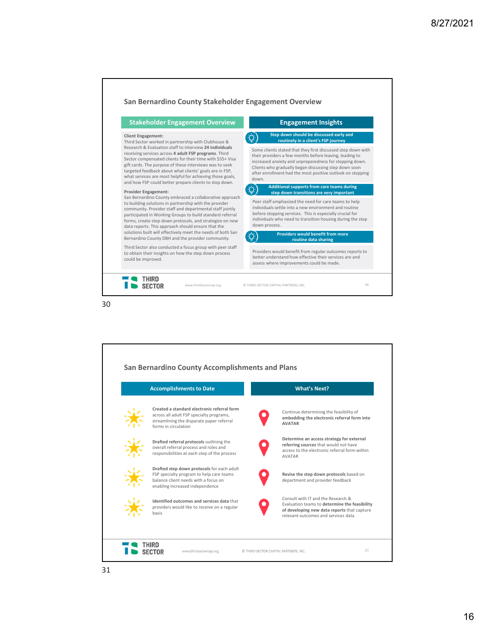

| <b>Accomplishments to Date</b> |                                                                                                                                                                   | <b>What's Next?</b>                                                                                                                                                       |  |
|--------------------------------|-------------------------------------------------------------------------------------------------------------------------------------------------------------------|---------------------------------------------------------------------------------------------------------------------------------------------------------------------------|--|
|                                | Created a standard electronic referral form<br>across all adult FSP specialty programs,<br>streamlining the disparate paper referral<br>forms in circulation      | Continue determining the feasibility of<br>embedding the electronic referral form into<br><b>AVATAR</b>                                                                   |  |
|                                | Drafted referral protocols outlining the<br>overall referral process and roles and<br>responsibilities at each step of the process                                | Determine an access strategy for external<br>referring sources that would not have<br>access to the electronic referral form within<br><b>AVATAR</b>                      |  |
|                                | Drafted step down protocols for each adult<br>FSP specialty program to help care teams<br>balance client needs with a focus on<br>enabling increased independence | Revise the step down protocols based on<br>department and provider feedback                                                                                               |  |
|                                | Identified outcomes and services data that<br>providers would like to receive on a regular<br>basis                                                               | Consult with IT and the Research &<br>Evaluation teams to determine the feasibility<br>of developing new data reports that capture<br>relevant outcomes and services data |  |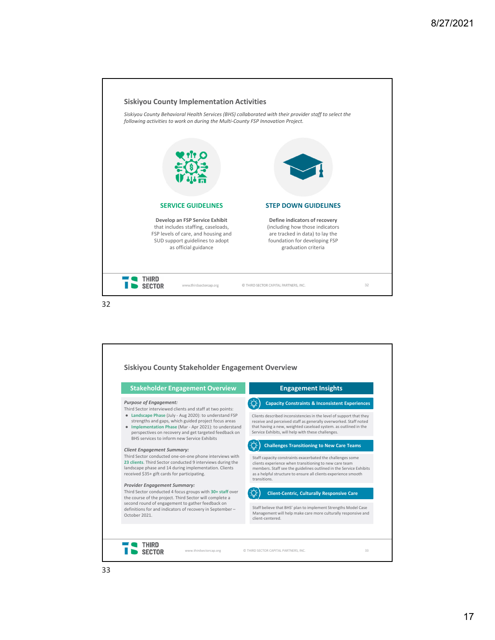

| <b>Stakeholder Engagement Overview</b>                                                                                                                                                                                                                                                                                                        | <b>Engagement Insights</b>                                                                                                                                                                                                                                                   |
|-----------------------------------------------------------------------------------------------------------------------------------------------------------------------------------------------------------------------------------------------------------------------------------------------------------------------------------------------|------------------------------------------------------------------------------------------------------------------------------------------------------------------------------------------------------------------------------------------------------------------------------|
| <b>Purpose of Engagement:</b>                                                                                                                                                                                                                                                                                                                 | <b>Capacity Constraints &amp; Inconsistent Experiences</b>                                                                                                                                                                                                                   |
| Third Sector interviewed clients and staff at two points:<br>• Landscape Phase (July - Aug 2020): to understand FSP<br>strengths and gaps, which guided project focus areas<br>• Implementation Phase (Mar - Apr 2021): to understand<br>perspectives on recovery and get targeted feedback on<br>BHS services to inform new Service Exhibits | Clients described inconsistencies in the level of support that they<br>receive and perceived staff as generally overworked. Staff noted<br>that having a new, weighted caseload system, as outlined in the<br>Service Exhibits, will help with these challenges.             |
| <b>Client Engagement Summary:</b>                                                                                                                                                                                                                                                                                                             | <b>Challenges Transitioning to New Care Teams</b>                                                                                                                                                                                                                            |
| Third Sector conducted one-on-one phone interviews with<br>23 clients. Third Sector conducted 9 interviews during the<br>landscape phase and 14 during implementation. Clients<br>received \$35+ gift cards for participating.                                                                                                                | Staff capacity constraints exacerbated the challenges some<br>clients experience when transitioning to new care team<br>members. Staff see the guidelines outlined in the Service Exhibits<br>as a helpful structure to ensure all clients experience smooth<br>transitions. |
| <b>Provider Engagement Summary:</b>                                                                                                                                                                                                                                                                                                           |                                                                                                                                                                                                                                                                              |
| Third Sector conducted 4 focus groups with 30+ staff over<br>the course of the project. Third Sector will complete a                                                                                                                                                                                                                          | <b>Client-Centric, Culturally Responsive Care</b>                                                                                                                                                                                                                            |
| second round of engagement to gather feedback on<br>definitions for and indicators of recovery in September-<br>October 2021.                                                                                                                                                                                                                 | Staff believe that BHS' plan to implement Strengths Model Case<br>Management will help make care more culturally responsive and<br>client-centered.                                                                                                                          |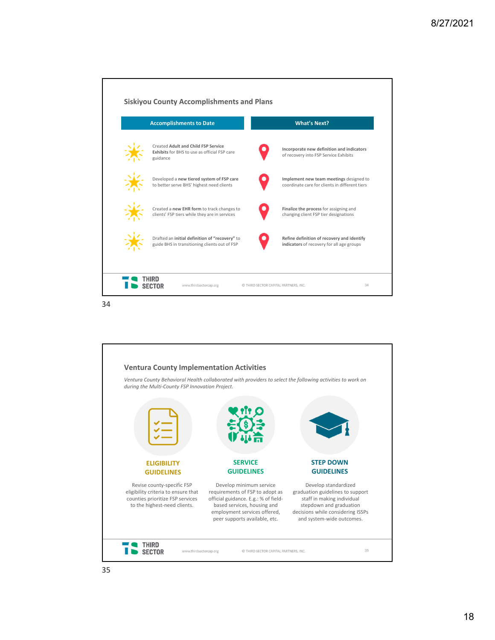

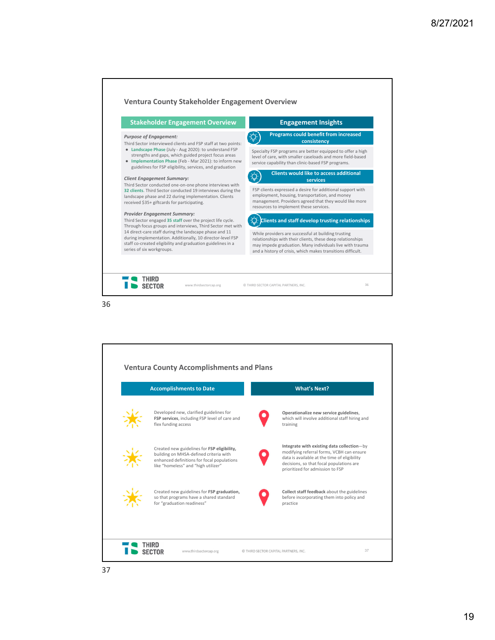